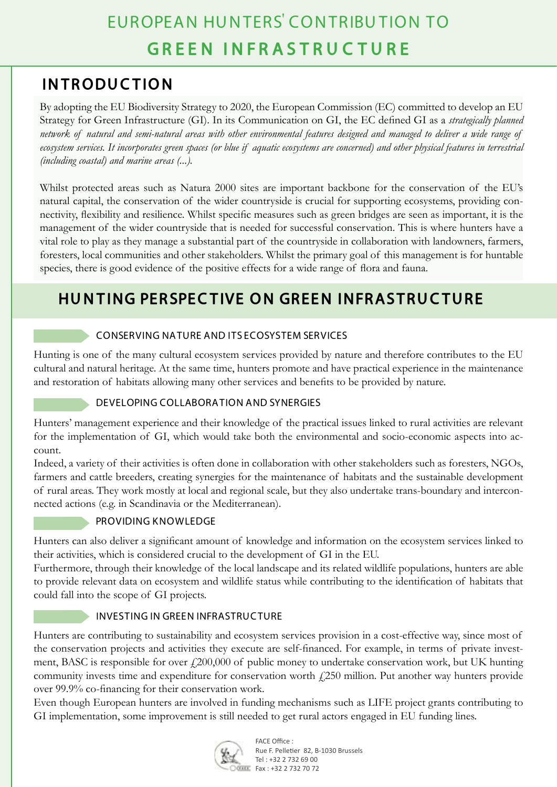## **INTRODUCTION**

By adopting the EU Biodiversity Strategy to 2020, the European Commission (EC) committed to develop an EU Strategy for Green Infrastructure (GI). In its Communication on GI, the EC defined GI as a *strategically planned network of natural and semi-natural areas with other environmental features designed and managed to deliver a wide range of ecosystem services. It incorporates green spaces (or blue if aquatic ecosystems are concerned) and other physical features in terrestrial (including coastal) and marine areas (...).*

Whilst protected areas such as Natura 2000 sites are important backbone for the conservation of the EU's natural capital, the conservation of the wider countryside is crucial for supporting ecosystems, providing connectivity, flexibility and resilience. Whilst specific measures such as green bridges are seen as important, it is the management of the wider countryside that is needed for successful conservation. This is where hunters have a vital role to play as they manage a substantial part of the countryside in collaboration with landowners, farmers, foresters, local communities and other stakeholders. Whilst the primary goal of this management is for huntable species, there is good evidence of the positive effects for a wide range of flora and fauna.

## **Hunting perspective on Green Infrastructure**

### Conserving natureand itsecosystem services

Hunting is one of the many cultural ecosystem services provided by nature and therefore contributes to the EU cultural and natural heritage. At the same time, hunters promote and have practical experience in the maintenance and restoration of habitats allowing many other services and benefits to be provided by nature.

#### Developing collaborationand synergies

Hunters' management experience and their knowledge of the practical issues linked to rural activities are relevant for the implementation of GI, which would take both the environmental and socio-economic aspects into account.

Indeed, a variety of their activities is often done in collaboration with other stakeholders such as foresters, NGOs, farmers and cattle breeders, creating synergies for the maintenance of habitats and the sustainable development of rural areas. They work mostly at local and regional scale, but they also undertake trans-boundary and interconnected actions (e.g. in Scandinavia or the Mediterranean).

#### Providing knowledge

Hunters can also deliver a significant amount of knowledge and information on the ecosystem services linked to their activities, which is considered crucial to the development of GI in the EU.

Furthermore, through their knowledge of the local landscape and its related wildlife populations, hunters are able to provide relevant data on ecosystem and wildlife status while contributing to the identification of habitats that could fall into the scope of GI projects.

#### INVESTING IN GREEN INFRASTRUCTURE

Hunters are contributing to sustainability and ecosystem services provision in a cost-effective way, since most of the conservation projects and activities they execute are self-financed. For example, in terms of private investment, BASC is responsible for over  $f200,000$  of public money to undertake conservation work, but UK hunting community invests time and expenditure for conservation worth £250 million. Put another way hunters provide over 99.9% co-financing for their conservation work.

Even though European hunters are involved in funding mechanisms such as LIFE project grants contributing to GI implementation, some improvement is still needed to get rural actors engaged in EU funding lines.